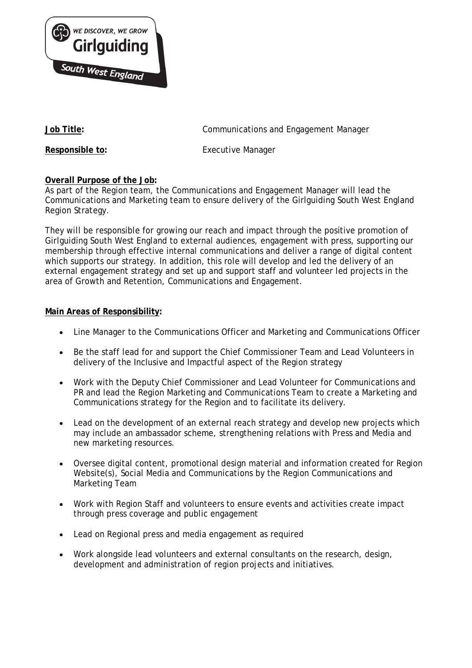

**Job Title:** Communications and Engagement Manager

**Responsible to:** Executive Manager

# **Overall Purpose of the Job:**

As part of the Region team, the Communications and Engagement Manager will lead the Communications and Marketing team to ensure delivery of the Girlguiding South West England Region Strategy.

They will be responsible for growing our reach and impact through the positive promotion of Girlguiding South West England to external audiences, engagement with press, supporting our membership through effective internal communications and deliver a range of digital content which supports our strategy. In addition, this role will develop and led the delivery of an external engagement strategy and set up and support staff and volunteer led projects in the area of Growth and Retention, Communications and Engagement.

# **Main Areas of Responsibility:**

- Line Manager to the Communications Officer and Marketing and Communications Officer
- Be the staff lead for and support the Chief Commissioner Team and Lead Volunteers in delivery of the Inclusive and Impactful aspect of the Region strategy
- Work with the Deputy Chief Commissioner and Lead Volunteer for Communications and PR and lead the Region Marketing and Communications Team to create a Marketing and Communications strategy for the Region and to facilitate its delivery.
- Lead on the development of an external reach strategy and develop new projects which may include an ambassador scheme, strengthening relations with Press and Media and new marketing resources.
- Oversee digital content, promotional design material and information created for Region Website(s), Social Media and Communications by the Region Communications and Marketing Team
- Work with Region Staff and volunteers to ensure events and activities create impact through press coverage and public engagement
- Lead on Regional press and media engagement as required
- Work alongside lead volunteers and external consultants on the research, design, development and administration of region projects and initiatives.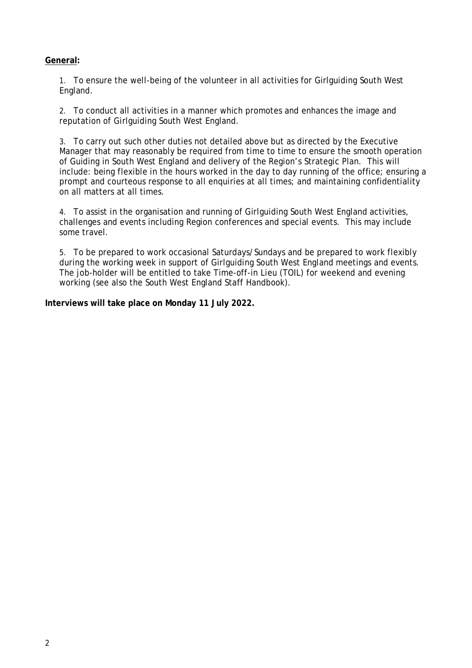### **General:**

1. To ensure the well-being of the volunteer in all activities for Girlguiding South West England.

2. To conduct all activities in a manner which promotes and enhances the image and reputation of Girlguiding South West England.

3. To carry out such other duties not detailed above but as directed by the Executive Manager that may reasonably be required from time to time to ensure the smooth operation of Guiding in South West England and delivery of the Region's Strategic Plan. This will include: being flexible in the hours worked in the day to day running of the office; ensuring a prompt and courteous response to all enquiries at all times; and maintaining confidentiality on all matters at all times.

4. To assist in the organisation and running of Girlguiding South West England activities, challenges and events including Region conferences and special events. This may include some travel.

5. To be prepared to work occasional Saturdays/Sundays and be prepared to work flexibly during the working week in support of Girlguiding South West England meetings and events. The job-holder will be entitled to take Time-off-in Lieu (TOIL) for weekend and evening working (see also the South West England Staff Handbook).

### **Interviews will take place on Monday 11 July 2022.**